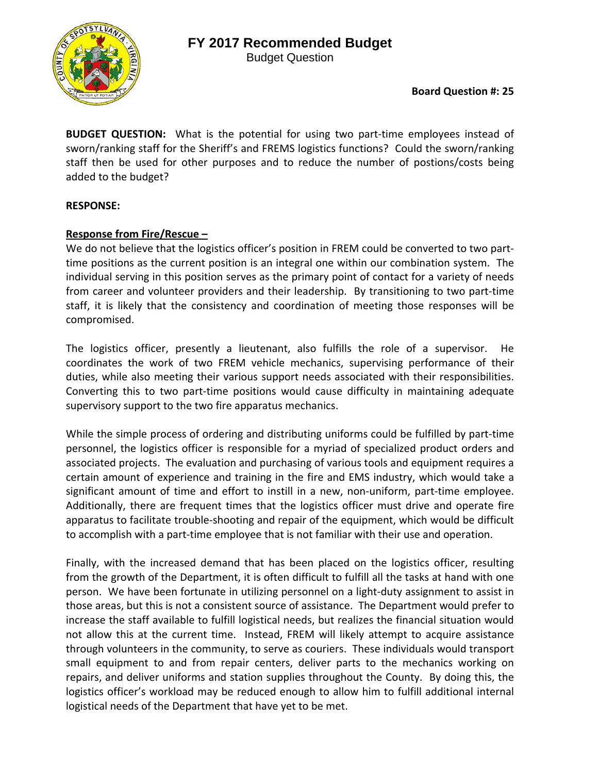# **FY 2017 Recommended Budget**





**BUDGET QUESTION:** What is the potential for using two part-time employees instead of sworn/ranking staff for the Sheriff's and FREMS logistics functions? Could the sworn/ranking staff then be used for other purposes and to reduce the number of postions/costs being added to the budget?

#### **RESPONSE:**

## **Response from Fire/Rescue –**

We do not believe that the logistics officer's position in FREM could be converted to two parttime positions as the current position is an integral one within our combination system. The individual serving in this position serves as the primary point of contact for a variety of needs from career and volunteer providers and their leadership. By transitioning to two part-time staff, it is likely that the consistency and coordination of meeting those responses will be compromised.

The logistics officer, presently a lieutenant, also fulfills the role of a supervisor. He coordinates the work of two FREM vehicle mechanics, supervising performance of their duties, while also meeting their various support needs associated with their responsibilities. Converting this to two part‐time positions would cause difficulty in maintaining adequate supervisory support to the two fire apparatus mechanics.

While the simple process of ordering and distributing uniforms could be fulfilled by part-time personnel, the logistics officer is responsible for a myriad of specialized product orders and associated projects. The evaluation and purchasing of various tools and equipment requires a certain amount of experience and training in the fire and EMS industry, which would take a significant amount of time and effort to instill in a new, non-uniform, part-time employee. Additionally, there are frequent times that the logistics officer must drive and operate fire apparatus to facilitate trouble‐shooting and repair of the equipment, which would be difficult to accomplish with a part‐time employee that is not familiar with their use and operation.

Finally, with the increased demand that has been placed on the logistics officer, resulting from the growth of the Department, it is often difficult to fulfill all the tasks at hand with one person. We have been fortunate in utilizing personnel on a light‐duty assignment to assist in those areas, but this is not a consistent source of assistance. The Department would prefer to increase the staff available to fulfill logistical needs, but realizes the financial situation would not allow this at the current time. Instead, FREM will likely attempt to acquire assistance through volunteers in the community, to serve as couriers. These individuals would transport small equipment to and from repair centers, deliver parts to the mechanics working on repairs, and deliver uniforms and station supplies throughout the County. By doing this, the logistics officer's workload may be reduced enough to allow him to fulfill additional internal logistical needs of the Department that have yet to be met.